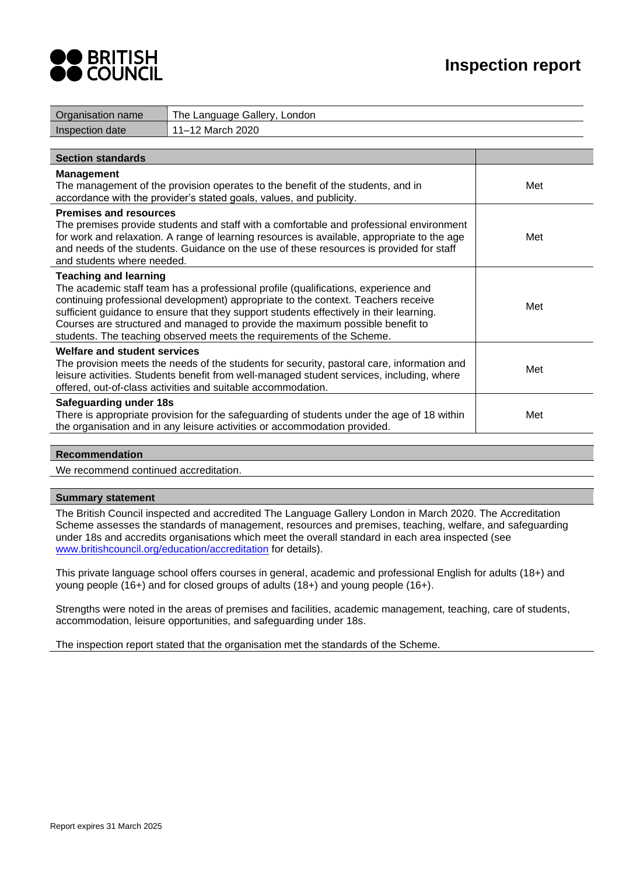



| Organisation name                                                                                                                                                                                                                                                                                                                                                                                                            | The Language Gallery, London                                                                                                                                                                                                                            |     |
|------------------------------------------------------------------------------------------------------------------------------------------------------------------------------------------------------------------------------------------------------------------------------------------------------------------------------------------------------------------------------------------------------------------------------|---------------------------------------------------------------------------------------------------------------------------------------------------------------------------------------------------------------------------------------------------------|-----|
| Inspection date                                                                                                                                                                                                                                                                                                                                                                                                              | 11-12 March 2020                                                                                                                                                                                                                                        |     |
|                                                                                                                                                                                                                                                                                                                                                                                                                              |                                                                                                                                                                                                                                                         |     |
| <b>Section standards</b>                                                                                                                                                                                                                                                                                                                                                                                                     |                                                                                                                                                                                                                                                         |     |
| <b>Management</b>                                                                                                                                                                                                                                                                                                                                                                                                            | The management of the provision operates to the benefit of the students, and in<br>accordance with the provider's stated goals, values, and publicity.                                                                                                  | Met |
| <b>Premises and resources</b>                                                                                                                                                                                                                                                                                                                                                                                                |                                                                                                                                                                                                                                                         |     |
| The premises provide students and staff with a comfortable and professional environment<br>for work and relaxation. A range of learning resources is available, appropriate to the age<br>and needs of the students. Guidance on the use of these resources is provided for staff<br>and students where needed.                                                                                                              |                                                                                                                                                                                                                                                         | Met |
| <b>Teaching and learning</b>                                                                                                                                                                                                                                                                                                                                                                                                 |                                                                                                                                                                                                                                                         |     |
| The academic staff team has a professional profile (qualifications, experience and<br>continuing professional development) appropriate to the context. Teachers receive<br>sufficient guidance to ensure that they support students effectively in their learning.<br>Courses are structured and managed to provide the maximum possible benefit to<br>students. The teaching observed meets the requirements of the Scheme. |                                                                                                                                                                                                                                                         | Met |
| <b>Welfare and student services</b>                                                                                                                                                                                                                                                                                                                                                                                          |                                                                                                                                                                                                                                                         |     |
|                                                                                                                                                                                                                                                                                                                                                                                                                              | The provision meets the needs of the students for security, pastoral care, information and<br>leisure activities. Students benefit from well-managed student services, including, where<br>offered, out-of-class activities and suitable accommodation. | Met |
| <b>Safeguarding under 18s</b>                                                                                                                                                                                                                                                                                                                                                                                                | There is appropriate provision for the safeguarding of students under the age of 18 within<br>the organisation and in any leisure activities or accommodation provided.                                                                                 | Met |

## **Recommendation**

We recommend continued accreditation.

#### **Summary statement**

The British Council inspected and accredited The Language Gallery London in March 2020. The Accreditation Scheme assesses the standards of management, resources and premises, teaching, welfare, and safeguarding under 18s and accredits organisations which meet the overall standard in each area inspected (see [www.britishcouncil.org/education/accreditation](http://www.britishcouncil.org/education/accreditation) for details).

This private language school offers courses in general, academic and professional English for adults (18+) and young people (16+) and for closed groups of adults (18+) and young people (16+).

Strengths were noted in the areas of premises and facilities, academic management, teaching, care of students, accommodation, leisure opportunities, and safeguarding under 18s.

The inspection report stated that the organisation met the standards of the Scheme.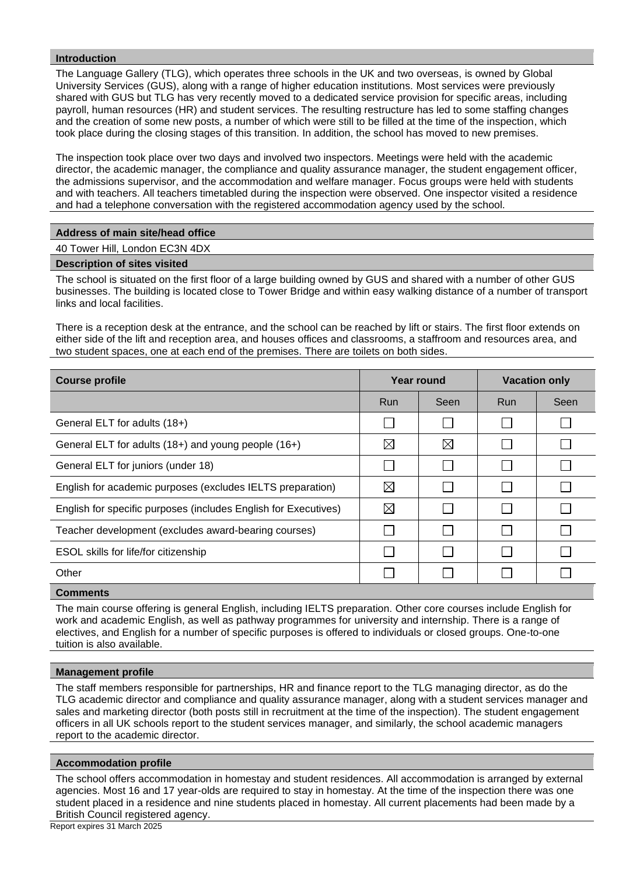#### **Introduction**

The Language Gallery (TLG), which operates three schools in the UK and two overseas, is owned by Global University Services (GUS), along with a range of higher education institutions. Most services were previously shared with GUS but TLG has very recently moved to a dedicated service provision for specific areas, including payroll, human resources (HR) and student services. The resulting restructure has led to some staffing changes and the creation of some new posts, a number of which were still to be filled at the time of the inspection, which took place during the closing stages of this transition. In addition, the school has moved to new premises.

The inspection took place over two days and involved two inspectors. Meetings were held with the academic director, the academic manager, the compliance and quality assurance manager, the student engagement officer, the admissions supervisor, and the accommodation and welfare manager. Focus groups were held with students and with teachers. All teachers timetabled during the inspection were observed. One inspector visited a residence and had a telephone conversation with the registered accommodation agency used by the school.

## **Address of main site/head office**

40 Tower Hill, London EC3N 4DX

#### **Description of sites visited**

The school is situated on the first floor of a large building owned by GUS and shared with a number of other GUS businesses. The building is located close to Tower Bridge and within easy walking distance of a number of transport links and local facilities.

There is a reception desk at the entrance, and the school can be reached by lift or stairs. The first floor extends on either side of the lift and reception area, and houses offices and classrooms, a staffroom and resources area, and two student spaces, one at each end of the premises. There are toilets on both sides.

| Year round<br><b>Course profile</b>                             |             | <b>Vacation only</b> |              |      |
|-----------------------------------------------------------------|-------------|----------------------|--------------|------|
|                                                                 | <b>Run</b>  | Seen                 | <b>Run</b>   | Seen |
| General ELT for adults (18+)                                    |             |                      |              |      |
| General ELT for adults (18+) and young people (16+)             | ⊠           | $\boxtimes$          | $\mathbf{L}$ |      |
| General ELT for juniors (under 18)                              |             |                      |              |      |
| English for academic purposes (excludes IELTS preparation)      | ⊠           |                      |              |      |
| English for specific purposes (includes English for Executives) | $\boxtimes$ |                      |              |      |
| Teacher development (excludes award-bearing courses)            |             |                      |              |      |
| ESOL skills for life/for citizenship                            |             |                      | L            |      |
| Other                                                           |             |                      |              |      |
|                                                                 |             |                      |              |      |

**Comments**

The main course offering is general English, including IELTS preparation. Other core courses include English for work and academic English, as well as pathway programmes for university and internship. There is a range of electives, and English for a number of specific purposes is offered to individuals or closed groups. One-to-one tuition is also available.

## **Management profile**

The staff members responsible for partnerships, HR and finance report to the TLG managing director, as do the TLG academic director and compliance and quality assurance manager, along with a student services manager and sales and marketing director (both posts still in recruitment at the time of the inspection). The student engagement officers in all UK schools report to the student services manager, and similarly, the school academic managers report to the academic director.

#### **Accommodation profile**

The school offers accommodation in homestay and student residences. All accommodation is arranged by external agencies. Most 16 and 17 year-olds are required to stay in homestay. At the time of the inspection there was one student placed in a residence and nine students placed in homestay. All current placements had been made by a British Council registered agency.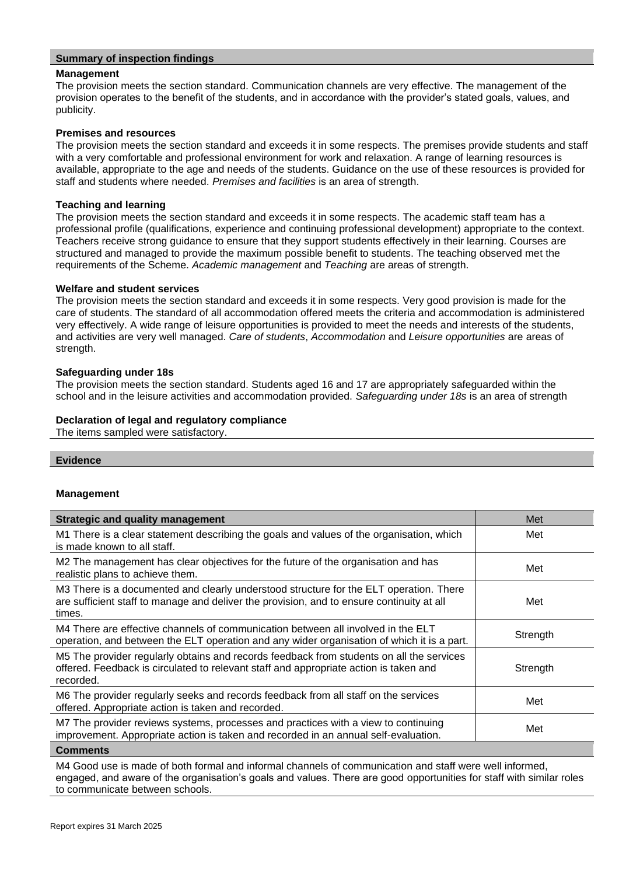#### **Summary of inspection findings**

#### **Management**

The provision meets the section standard. Communication channels are very effective. The management of the provision operates to the benefit of the students, and in accordance with the provider's stated goals, values, and publicity.

#### **Premises and resources**

The provision meets the section standard and exceeds it in some respects. The premises provide students and staff with a very comfortable and professional environment for work and relaxation. A range of learning resources is available, appropriate to the age and needs of the students. Guidance on the use of these resources is provided for staff and students where needed. *Premises and facilities* is an area of strength.

#### **Teaching and learning**

The provision meets the section standard and exceeds it in some respects. The academic staff team has a professional profile (qualifications, experience and continuing professional development) appropriate to the context. Teachers receive strong guidance to ensure that they support students effectively in their learning. Courses are structured and managed to provide the maximum possible benefit to students. The teaching observed met the requirements of the Scheme. *Academic management* and *Teaching* are areas of strength.

#### **Welfare and student services**

The provision meets the section standard and exceeds it in some respects. Very good provision is made for the care of students. The standard of all accommodation offered meets the criteria and accommodation is administered very effectively. A wide range of leisure opportunities is provided to meet the needs and interests of the students, and activities are very well managed. *Care of students*, *Accommodation* and *Leisure opportunities* are areas of strength.

#### **Safeguarding under 18s**

The provision meets the section standard. Students aged 16 and 17 are appropriately safeguarded within the school and in the leisure activities and accommodation provided. *Safeguarding under 18s* is an area of strength

## **Declaration of legal and regulatory compliance**

The items sampled were satisfactory.

#### **Evidence**

#### **Management**

| <b>Strategic and quality management</b>                                                                                                                                                        | Met      |
|------------------------------------------------------------------------------------------------------------------------------------------------------------------------------------------------|----------|
| M1 There is a clear statement describing the goals and values of the organisation, which<br>is made known to all staff.                                                                        | Met      |
| M2 The management has clear objectives for the future of the organisation and has<br>realistic plans to achieve them.                                                                          | Met      |
| M3 There is a documented and clearly understood structure for the ELT operation. There<br>are sufficient staff to manage and deliver the provision, and to ensure continuity at all<br>times.  | Met      |
| M4 There are effective channels of communication between all involved in the ELT<br>operation, and between the ELT operation and any wider organisation of which it is a part.                 | Strength |
| M5 The provider regularly obtains and records feedback from students on all the services<br>offered. Feedback is circulated to relevant staff and appropriate action is taken and<br>recorded. | Strength |
| M6 The provider regularly seeks and records feedback from all staff on the services<br>offered. Appropriate action is taken and recorded.                                                      | Met      |
| M7 The provider reviews systems, processes and practices with a view to continuing<br>improvement. Appropriate action is taken and recorded in an annual self-evaluation.                      | Met      |
|                                                                                                                                                                                                |          |

**Comments**

M4 Good use is made of both formal and informal channels of communication and staff were well informed, engaged, and aware of the organisation's goals and values. There are good opportunities for staff with similar roles to communicate between schools.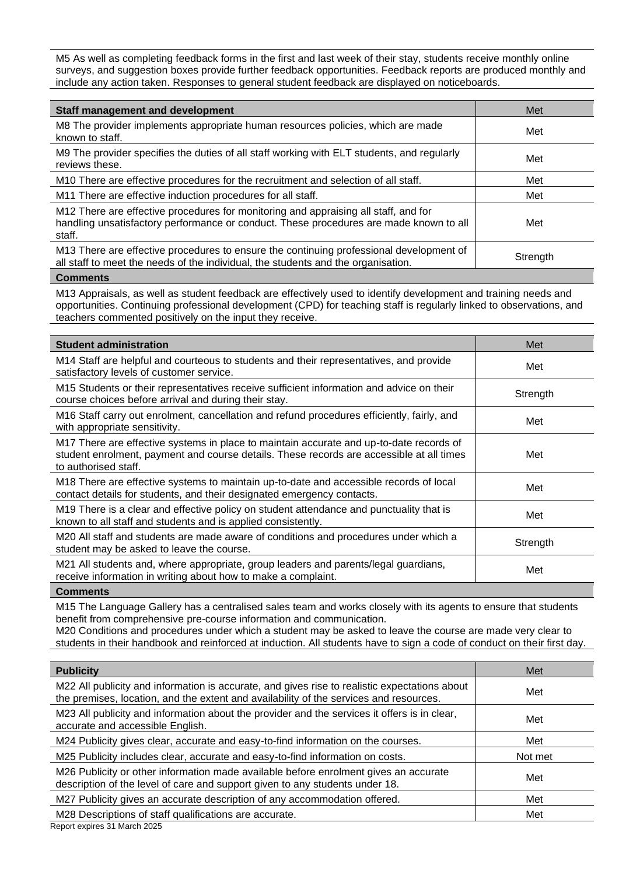M5 As well as completing feedback forms in the first and last week of their stay, students receive monthly online surveys, and suggestion boxes provide further feedback opportunities. Feedback reports are produced monthly and include any action taken. Responses to general student feedback are displayed on noticeboards.

| <b>Staff management and development</b>                                                                                                                                                 | Met      |
|-----------------------------------------------------------------------------------------------------------------------------------------------------------------------------------------|----------|
| M8 The provider implements appropriate human resources policies, which are made<br>known to staff.                                                                                      | Met      |
| M9 The provider specifies the duties of all staff working with ELT students, and regularly<br>reviews these.                                                                            | Met      |
| M10 There are effective procedures for the recruitment and selection of all staff.                                                                                                      | Met      |
| M11 There are effective induction procedures for all staff.                                                                                                                             | Met      |
| M12 There are effective procedures for monitoring and appraising all staff, and for<br>handling unsatisfactory performance or conduct. These procedures are made known to all<br>staff. | Met      |
| M13 There are effective procedures to ensure the continuing professional development of<br>all staff to meet the needs of the individual, the students and the organisation.            | Strength |

#### **Comments**

M13 Appraisals, as well as student feedback are effectively used to identify development and training needs and opportunities. Continuing professional development (CPD) for teaching staff is regularly linked to observations, and teachers commented positively on the input they receive.

| <b>Student administration</b>                                                                                                                                                                               | Met      |
|-------------------------------------------------------------------------------------------------------------------------------------------------------------------------------------------------------------|----------|
| M14 Staff are helpful and courteous to students and their representatives, and provide<br>satisfactory levels of customer service.                                                                          | Met      |
| M15 Students or their representatives receive sufficient information and advice on their<br>course choices before arrival and during their stay.                                                            | Strength |
| M16 Staff carry out enrolment, cancellation and refund procedures efficiently, fairly, and<br>with appropriate sensitivity.                                                                                 | Met      |
| M17 There are effective systems in place to maintain accurate and up-to-date records of<br>student enrolment, payment and course details. These records are accessible at all times<br>to authorised staff. | Met      |
| M18 There are effective systems to maintain up-to-date and accessible records of local<br>contact details for students, and their designated emergency contacts.                                            | Met      |
| M19 There is a clear and effective policy on student attendance and punctuality that is<br>known to all staff and students and is applied consistently.                                                     | Met      |
| M20 All staff and students are made aware of conditions and procedures under which a<br>student may be asked to leave the course.                                                                           | Strength |
| M21 All students and, where appropriate, group leaders and parents/legal guardians,<br>receive information in writing about how to make a complaint.                                                        | Met      |
|                                                                                                                                                                                                             |          |

**Comments**

M15 The Language Gallery has a centralised sales team and works closely with its agents to ensure that students benefit from comprehensive pre-course information and communication.

M20 Conditions and procedures under which a student may be asked to leave the course are made very clear to students in their handbook and reinforced at induction. All students have to sign a code of conduct on their first day.

| <b>Publicity</b>                                                                                                                                                                        | Met     |
|-----------------------------------------------------------------------------------------------------------------------------------------------------------------------------------------|---------|
| M22 All publicity and information is accurate, and gives rise to realistic expectations about<br>the premises, location, and the extent and availability of the services and resources. | Met     |
| M23 All publicity and information about the provider and the services it offers is in clear,<br>accurate and accessible English.                                                        | Met     |
| M24 Publicity gives clear, accurate and easy-to-find information on the courses.                                                                                                        | Met     |
| M25 Publicity includes clear, accurate and easy-to-find information on costs.                                                                                                           | Not met |
| M26 Publicity or other information made available before enrolment gives an accurate<br>description of the level of care and support given to any students under 18.                    | Met     |
| M27 Publicity gives an accurate description of any accommodation offered.                                                                                                               | Met     |
| M28 Descriptions of staff qualifications are accurate.<br>Donort ovnirog 21 March 2025                                                                                                  | Met     |

ort expires 31 March 2025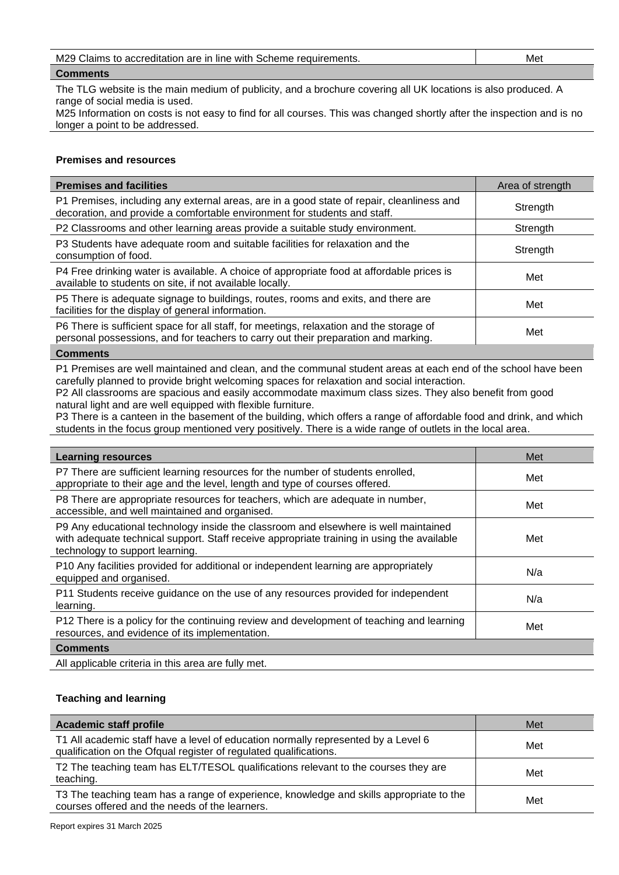| M29 Claims to accreditation are in line with Scheme requirements. | Met |
|-------------------------------------------------------------------|-----|
|                                                                   |     |

## **Comments**

The TLG website is the main medium of publicity, and a brochure covering all UK locations is also produced. A range of social media is used.

M25 Information on costs is not easy to find for all courses. This was changed shortly after the inspection and is no longer a point to be addressed.

#### **Premises and resources**

| <b>Premises and facilities</b>                                                                                                                                                | Area of strength |
|-------------------------------------------------------------------------------------------------------------------------------------------------------------------------------|------------------|
| P1 Premises, including any external areas, are in a good state of repair, cleanliness and<br>decoration, and provide a comfortable environment for students and staff.        | Strength         |
| P2 Classrooms and other learning areas provide a suitable study environment.                                                                                                  | Strength         |
| P3 Students have adequate room and suitable facilities for relaxation and the<br>consumption of food.                                                                         | Strength         |
| P4 Free drinking water is available. A choice of appropriate food at affordable prices is<br>available to students on site, if not available locally.                         | Met              |
| P5 There is adequate signage to buildings, routes, rooms and exits, and there are<br>facilities for the display of general information.                                       | Met              |
| P6 There is sufficient space for all staff, for meetings, relaxation and the storage of<br>personal possessions, and for teachers to carry out their preparation and marking. | Met              |
| <b>Comments</b>                                                                                                                                                               |                  |

P1 Premises are well maintained and clean, and the communal student areas at each end of the school have been carefully planned to provide bright welcoming spaces for relaxation and social interaction.

P2 All classrooms are spacious and easily accommodate maximum class sizes. They also benefit from good natural light and are well equipped with flexible furniture.

P3 There is a canteen in the basement of the building, which offers a range of affordable food and drink, and which students in the focus group mentioned very positively. There is a wide range of outlets in the local area.

| <b>Learning resources</b>                                                                                                                                                                                            | Met |
|----------------------------------------------------------------------------------------------------------------------------------------------------------------------------------------------------------------------|-----|
| P7 There are sufficient learning resources for the number of students enrolled,<br>appropriate to their age and the level, length and type of courses offered.                                                       | Met |
| P8 There are appropriate resources for teachers, which are adequate in number,<br>accessible, and well maintained and organised.                                                                                     | Met |
| P9 Any educational technology inside the classroom and elsewhere is well maintained<br>with adequate technical support. Staff receive appropriate training in using the available<br>technology to support learning. | Met |
| P10 Any facilities provided for additional or independent learning are appropriately<br>equipped and organised.                                                                                                      | N/a |
| P11 Students receive guidance on the use of any resources provided for independent<br>learning.                                                                                                                      | N/a |
| P12 There is a policy for the continuing review and development of teaching and learning<br>resources, and evidence of its implementation.                                                                           | Met |
| <b>Comments</b>                                                                                                                                                                                                      |     |
| All applicable criteria in this area are fully met.                                                                                                                                                                  |     |

## **Teaching and learning**

| <b>Academic staff profile</b>                                                                                                                          | Met |
|--------------------------------------------------------------------------------------------------------------------------------------------------------|-----|
| T1 All academic staff have a level of education normally represented by a Level 6<br>qualification on the Ofqual register of regulated qualifications. | Met |
| T2 The teaching team has ELT/TESOL qualifications relevant to the courses they are<br>teaching.                                                        | Met |
| T3 The teaching team has a range of experience, knowledge and skills appropriate to the<br>courses offered and the needs of the learners.              | Met |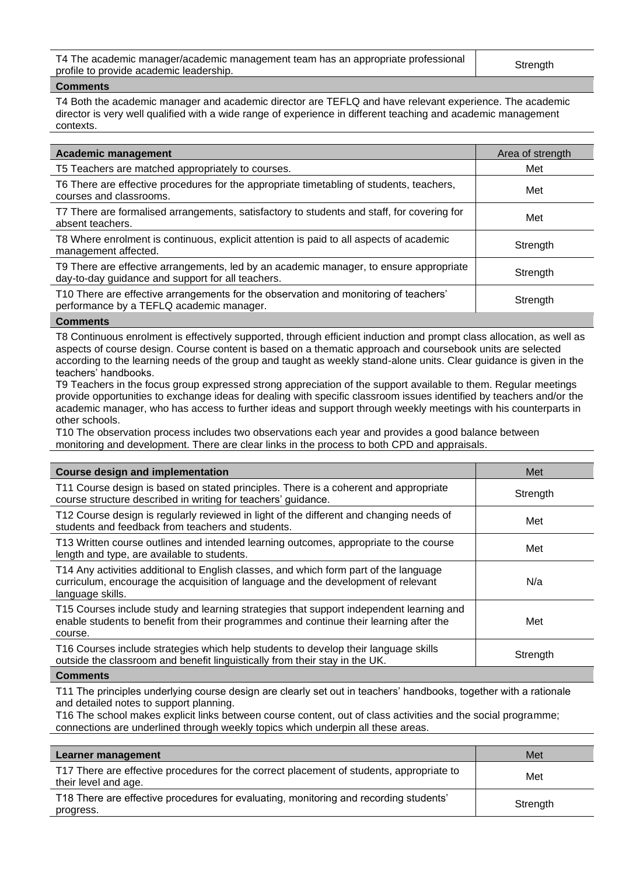T4 The academic manager/academic management team has an appropriate professional The academic manager/academic management team nas an appropriate professional strength<br>profile to provide academic leadership.

#### **Comments**

T4 Both the academic manager and academic director are TEFLQ and have relevant experience. The academic director is very well qualified with a wide range of experience in different teaching and academic management contexts.

| <b>Academic management</b>                                                                                                                  | Area of strength |
|---------------------------------------------------------------------------------------------------------------------------------------------|------------------|
| T5 Teachers are matched appropriately to courses.                                                                                           | Met              |
| T6 There are effective procedures for the appropriate timetabling of students, teachers,<br>courses and classrooms.                         | Met              |
| T7 There are formalised arrangements, satisfactory to students and staff, for covering for<br>absent teachers.                              | Met              |
| T8 Where enrolment is continuous, explicit attention is paid to all aspects of academic<br>management affected.                             | Strength         |
| T9 There are effective arrangements, led by an academic manager, to ensure appropriate<br>day-to-day guidance and support for all teachers. | Strength         |
| T10 There are effective arrangements for the observation and monitoring of teachers'<br>performance by a TEFLQ academic manager.            | Strength         |
| $P$ ammania                                                                                                                                 |                  |

#### **Comments**

T8 Continuous enrolment is effectively supported, through efficient induction and prompt class allocation, as well as aspects of course design. Course content is based on a thematic approach and coursebook units are selected according to the learning needs of the group and taught as weekly stand-alone units. Clear guidance is given in the teachers' handbooks.

T9 Teachers in the focus group expressed strong appreciation of the support available to them. Regular meetings provide opportunities to exchange ideas for dealing with specific classroom issues identified by teachers and/or the academic manager, who has access to further ideas and support through weekly meetings with his counterparts in other schools.

T10 The observation process includes two observations each year and provides a good balance between monitoring and development. There are clear links in the process to both CPD and appraisals.

| <b>Course design and implementation</b>                                                                                                                                                        | Met      |
|------------------------------------------------------------------------------------------------------------------------------------------------------------------------------------------------|----------|
| T11 Course design is based on stated principles. There is a coherent and appropriate<br>course structure described in writing for teachers' guidance.                                          | Strength |
| T12 Course design is regularly reviewed in light of the different and changing needs of<br>students and feedback from teachers and students.                                                   | Met      |
| T13 Written course outlines and intended learning outcomes, appropriate to the course<br>length and type, are available to students.                                                           | Met      |
| T14 Any activities additional to English classes, and which form part of the language<br>curriculum, encourage the acquisition of language and the development of relevant<br>language skills. | N/a      |
| T15 Courses include study and learning strategies that support independent learning and<br>enable students to benefit from their programmes and continue their learning after the<br>course.   | Met      |
| T16 Courses include strategies which help students to develop their language skills<br>outside the classroom and benefit linguistically from their stay in the UK.                             | Strength |
| <b>A</b> - --- --- - -- 1 -                                                                                                                                                                    |          |

#### **Comments**

T11 The principles underlying course design are clearly set out in teachers' handbooks, together with a rationale and detailed notes to support planning.

T16 The school makes explicit links between course content, out of class activities and the social programme; connections are underlined through weekly topics which underpin all these areas.

| Learner management                                                                                               | Met      |
|------------------------------------------------------------------------------------------------------------------|----------|
| T17 There are effective procedures for the correct placement of students, appropriate to<br>their level and age. | Met      |
| T18 There are effective procedures for evaluating, monitoring and recording students'<br>progress.               | Strength |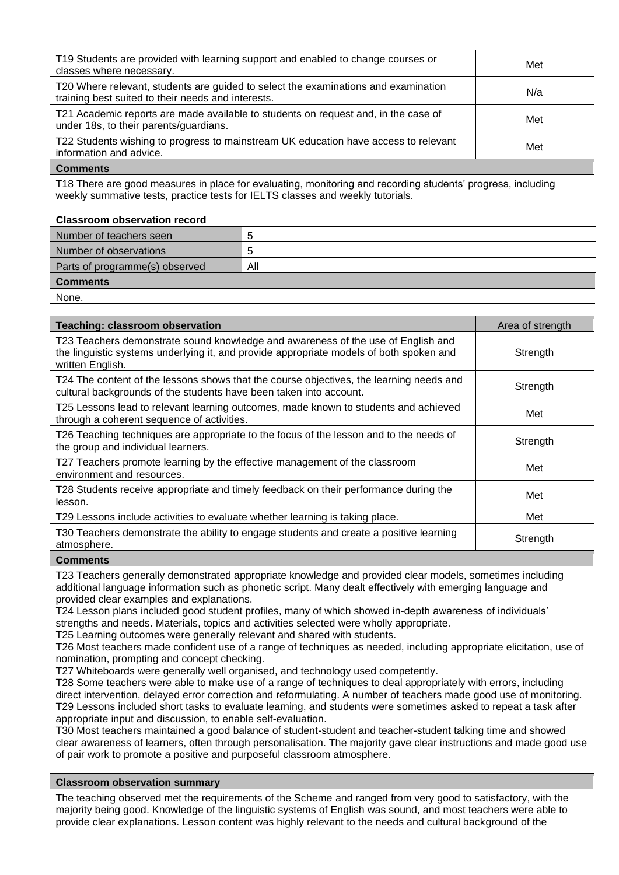| T19 Students are provided with learning support and enabled to change courses or<br>classes where necessary.                             | Met |
|------------------------------------------------------------------------------------------------------------------------------------------|-----|
| T20 Where relevant, students are guided to select the examinations and examination<br>training best suited to their needs and interests. | N/a |
| T21 Academic reports are made available to students on request and, in the case of<br>under 18s, to their parents/guardians.             | Met |
| T22 Students wishing to progress to mainstream UK education have access to relevant<br>information and advice.                           | Met |

#### **Comments**

T18 There are good measures in place for evaluating, monitoring and recording students' progress, including weekly summative tests, practice tests for IELTS classes and weekly tutorials.

#### **Classroom observation record**

| Number of teachers seen        |     |
|--------------------------------|-----|
| Number of observations         | h   |
| Parts of programme(s) observed | All |
| <b>Comments</b>                |     |
| None.                          |     |

**Teaching: classroom observation** Area of strength and area of strength and area of strength T23 Teachers demonstrate sound knowledge and awareness of the use of English and the linguistic systems underlying it, and provide appropriate models of both spoken and written English. **Strength** T24 The content of the lessons shows that the course objectives, the learning needs and T24 The content of the lessons shows that the course objectives, the learning needs and<br>cultural backgrounds of the students have been taken into account. T25 Lessons lead to relevant learning outcomes, made known to students and achieved The contract of the control of activities. These whole is and active ved<br>through a coherent sequence of activities. T26 Teaching techniques are appropriate to the focus of the lesson and to the needs of T20 Teaching techniques are appropriate to the locus of the lesson and to the needs of Strength<br>the group and individual learners. T27 Teachers promote learning by the effective management of the classroom environment and resources.<br>
environment and resources. T28 Students receive appropriate and timely feedback on their performance during the lesson. Met T29 Lessons include activities to evaluate whether learning is taking place. T30 Teachers demonstrate the ability to engage students and create a positive learning [100] Strength<br>atmosphere.

#### **Comments**

T23 Teachers generally demonstrated appropriate knowledge and provided clear models, sometimes including additional language information such as phonetic script. Many dealt effectively with emerging language and provided clear examples and explanations.

T24 Lesson plans included good student profiles, many of which showed in-depth awareness of individuals' strengths and needs. Materials, topics and activities selected were wholly appropriate.

T25 Learning outcomes were generally relevant and shared with students.

T26 Most teachers made confident use of a range of techniques as needed, including appropriate elicitation, use of nomination, prompting and concept checking.

T27 Whiteboards were generally well organised, and technology used competently.

T28 Some teachers were able to make use of a range of techniques to deal appropriately with errors, including direct intervention, delayed error correction and reformulating. A number of teachers made good use of monitoring. T29 Lessons included short tasks to evaluate learning, and students were sometimes asked to repeat a task after appropriate input and discussion, to enable self-evaluation.

T30 Most teachers maintained a good balance of student-student and teacher-student talking time and showed clear awareness of learners, often through personalisation. The majority gave clear instructions and made good use of pair work to promote a positive and purposeful classroom atmosphere.

#### **Classroom observation summary**

The teaching observed met the requirements of the Scheme and ranged from very good to satisfactory, with the majority being good. Knowledge of the linguistic systems of English was sound, and most teachers were able to provide clear explanations. Lesson content was highly relevant to the needs and cultural background of the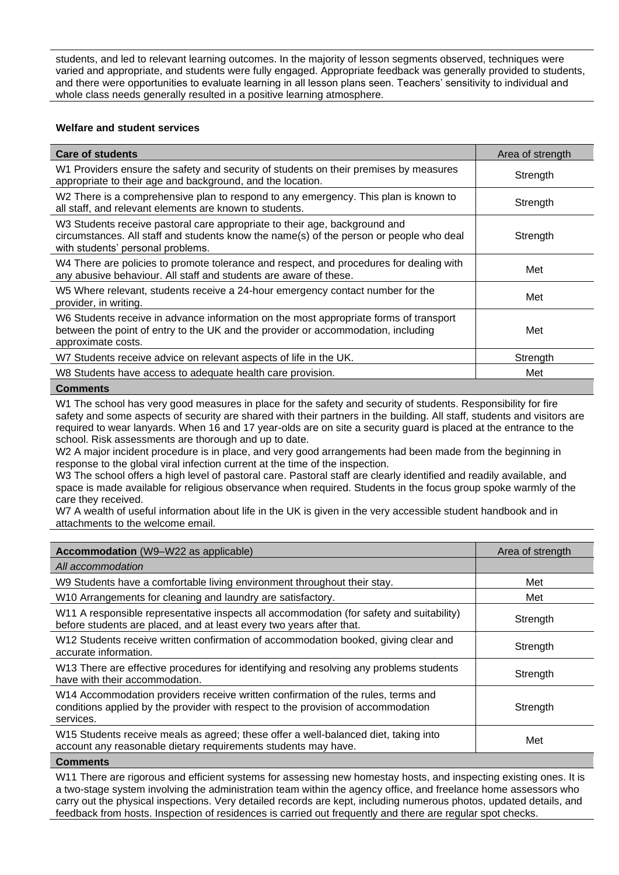students, and led to relevant learning outcomes. In the majority of lesson segments observed, techniques were varied and appropriate, and students were fully engaged. Appropriate feedback was generally provided to students, and there were opportunities to evaluate learning in all lesson plans seen. Teachers' sensitivity to individual and whole class needs generally resulted in a positive learning atmosphere.

## **Welfare and student services**

| <b>Care of students</b>                                                                                                                                                                                    | Area of strength |
|------------------------------------------------------------------------------------------------------------------------------------------------------------------------------------------------------------|------------------|
| W1 Providers ensure the safety and security of students on their premises by measures<br>appropriate to their age and background, and the location.                                                        | Strength         |
| W2 There is a comprehensive plan to respond to any emergency. This plan is known to<br>all staff, and relevant elements are known to students.                                                             | Strength         |
| W3 Students receive pastoral care appropriate to their age, background and<br>circumstances. All staff and students know the name(s) of the person or people who deal<br>with students' personal problems. | Strength         |
| W4 There are policies to promote tolerance and respect, and procedures for dealing with<br>any abusive behaviour. All staff and students are aware of these.                                               | Met              |
| W5 Where relevant, students receive a 24-hour emergency contact number for the<br>provider, in writing.                                                                                                    | Met              |
| W6 Students receive in advance information on the most appropriate forms of transport<br>between the point of entry to the UK and the provider or accommodation, including<br>approximate costs.           | Met              |
| W7 Students receive advice on relevant aspects of life in the UK.                                                                                                                                          | Strength         |
| W8 Students have access to adequate health care provision.                                                                                                                                                 | Met              |
| <b>Comments</b>                                                                                                                                                                                            |                  |

W1 The school has very good measures in place for the safety and security of students. Responsibility for fire safety and some aspects of security are shared with their partners in the building. All staff, students and visitors are required to wear lanyards. When 16 and 17 year-olds are on site a security guard is placed at the entrance to the school. Risk assessments are thorough and up to date.

W<sub>2</sub> A major incident procedure is in place, and very good arrangements had been made from the beginning in response to the global viral infection current at the time of the inspection.

W3 The school offers a high level of pastoral care. Pastoral staff are clearly identified and readily available, and space is made available for religious observance when required. Students in the focus group spoke warmly of the care they received.

W7 A wealth of useful information about life in the UK is given in the very accessible student handbook and in attachments to the welcome email.

| <b>Accommodation</b> (W9–W22 as applicable)                                                                                                                                        | Area of strength |
|------------------------------------------------------------------------------------------------------------------------------------------------------------------------------------|------------------|
| All accommodation                                                                                                                                                                  |                  |
| W9 Students have a comfortable living environment throughout their stay.                                                                                                           | Met              |
| W10 Arrangements for cleaning and laundry are satisfactory.                                                                                                                        | Met              |
| W11 A responsible representative inspects all accommodation (for safety and suitability)<br>before students are placed, and at least every two years after that.                   | Strength         |
| W12 Students receive written confirmation of accommodation booked, giving clear and<br>accurate information.                                                                       | Strength         |
| W13 There are effective procedures for identifying and resolving any problems students<br>have with their accommodation.                                                           | Strength         |
| W14 Accommodation providers receive written confirmation of the rules, terms and<br>conditions applied by the provider with respect to the provision of accommodation<br>services. | Strength         |
| W15 Students receive meals as agreed; these offer a well-balanced diet, taking into<br>account any reasonable dietary requirements students may have.                              | Met              |
| <b>Comments</b>                                                                                                                                                                    |                  |

W11 There are rigorous and efficient systems for assessing new homestay hosts, and inspecting existing ones. It is a two-stage system involving the administration team within the agency office, and freelance home assessors who carry out the physical inspections. Very detailed records are kept, including numerous photos, updated details, and feedback from hosts. Inspection of residences is carried out frequently and there are regular spot checks.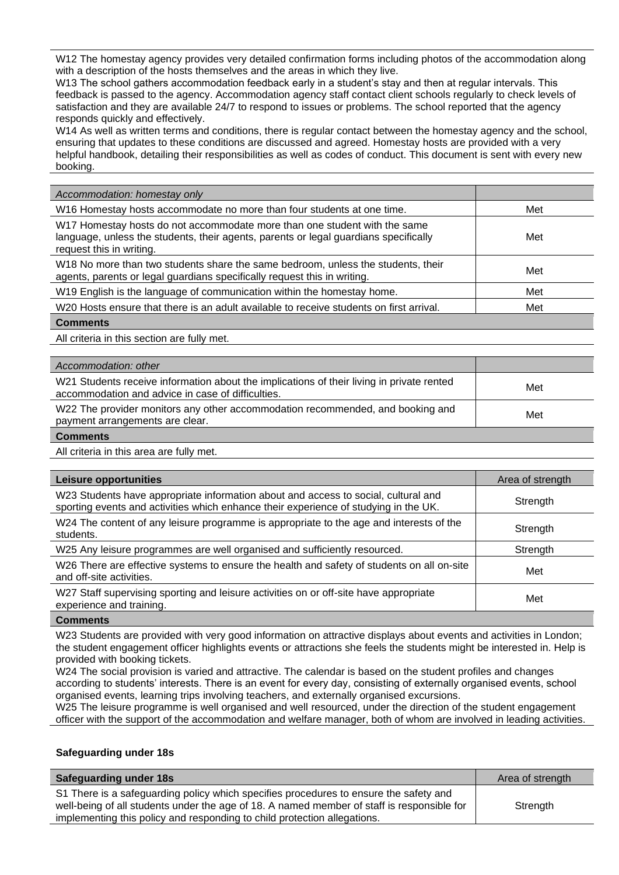W12 The homestay agency provides very detailed confirmation forms including photos of the accommodation along with a description of the hosts themselves and the areas in which they live.

W13 The school gathers accommodation feedback early in a student's stay and then at regular intervals. This feedback is passed to the agency. Accommodation agency staff contact client schools regularly to check levels of satisfaction and they are available 24/7 to respond to issues or problems. The school reported that the agency responds quickly and effectively.

W14 As well as written terms and conditions, there is regular contact between the homestay agency and the school, ensuring that updates to these conditions are discussed and agreed. Homestay hosts are provided with a very helpful handbook, detailing their responsibilities as well as codes of conduct. This document is sent with every new booking.

| Accommodation: homestay only                                                                                                                                                                  |     |
|-----------------------------------------------------------------------------------------------------------------------------------------------------------------------------------------------|-----|
| W16 Homestay hosts accommodate no more than four students at one time.                                                                                                                        | Met |
| W17 Homestay hosts do not accommodate more than one student with the same<br>language, unless the students, their agents, parents or legal guardians specifically<br>request this in writing. | Met |
| W18 No more than two students share the same bedroom, unless the students, their<br>agents, parents or legal guardians specifically request this in writing.                                  | Met |
| W19 English is the language of communication within the homestay home.                                                                                                                        | Met |
| W <sub>20</sub> Hosts ensure that there is an adult available to receive students on first arrival.                                                                                           | Met |
| <b>Comments</b>                                                                                                                                                                               |     |

All criteria in this section are fully met.

| Accommodation: other                                                                                                                           |     |
|------------------------------------------------------------------------------------------------------------------------------------------------|-----|
| W21 Students receive information about the implications of their living in private rented<br>accommodation and advice in case of difficulties. | Met |
| W22 The provider monitors any other accommodation recommended, and booking and<br>payment arrangements are clear.                              | Met |
| <b>Comments</b>                                                                                                                                |     |

All criteria in this area are fully met.

| <b>Leisure opportunities</b>                                                                                                                                               | Area of strength |
|----------------------------------------------------------------------------------------------------------------------------------------------------------------------------|------------------|
| W23 Students have appropriate information about and access to social, cultural and<br>sporting events and activities which enhance their experience of studying in the UK. | Strength         |
| W24 The content of any leisure programme is appropriate to the age and interests of the<br>students.                                                                       | Strength         |
| W25 Any leisure programmes are well organised and sufficiently resourced.                                                                                                  | Strength         |
| W26 There are effective systems to ensure the health and safety of students on all on-site<br>and off-site activities.                                                     | Met              |
| W27 Staff supervising sporting and leisure activities on or off-site have appropriate<br>experience and training.                                                          | Met              |
|                                                                                                                                                                            |                  |

**Comments**

W23 Students are provided with very good information on attractive displays about events and activities in London; the student engagement officer highlights events or attractions she feels the students might be interested in. Help is provided with booking tickets.

W24 The social provision is varied and attractive. The calendar is based on the student profiles and changes according to students' interests. There is an event for every day, consisting of externally organised events, school organised events, learning trips involving teachers, and externally organised excursions.

W25 The leisure programme is well organised and well resourced, under the direction of the student engagement officer with the support of the accommodation and welfare manager, both of whom are involved in leading activities.

#### **Safeguarding under 18s**

| Safeguarding under 18s                                                                                                                                                                                                                                          | Area of strength |
|-----------------------------------------------------------------------------------------------------------------------------------------------------------------------------------------------------------------------------------------------------------------|------------------|
| S1 There is a safeguarding policy which specifies procedures to ensure the safety and<br>well-being of all students under the age of 18. A named member of staff is responsible for<br>implementing this policy and responding to child protection allegations. | Strength         |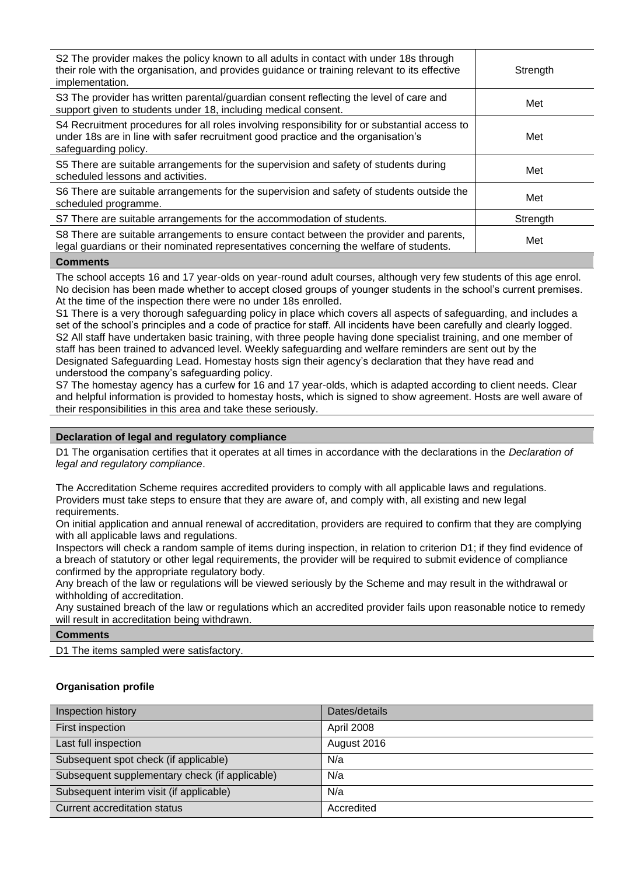| S2 The provider makes the policy known to all adults in contact with under 18s through<br>their role with the organisation, and provides guidance or training relevant to its effective<br>implementation. | Strength |
|------------------------------------------------------------------------------------------------------------------------------------------------------------------------------------------------------------|----------|
| S3 The provider has written parental/guardian consent reflecting the level of care and<br>support given to students under 18, including medical consent.                                                   | Met      |
| S4 Recruitment procedures for all roles involving responsibility for or substantial access to<br>under 18s are in line with safer recruitment good practice and the organisation's<br>safeguarding policy. | Met      |
| S5 There are suitable arrangements for the supervision and safety of students during<br>scheduled lessons and activities.                                                                                  | Met      |
| S6 There are suitable arrangements for the supervision and safety of students outside the<br>scheduled programme.                                                                                          | Met      |
| S7 There are suitable arrangements for the accommodation of students.                                                                                                                                      | Strength |
| S8 There are suitable arrangements to ensure contact between the provider and parents,<br>legal guardians or their nominated representatives concerning the welfare of students.                           | Met      |
|                                                                                                                                                                                                            |          |

#### **Comments**

The school accepts 16 and 17 year-olds on year-round adult courses, although very few students of this age enrol. No decision has been made whether to accept closed groups of younger students in the school's current premises. At the time of the inspection there were no under 18s enrolled.

S1 There is a very thorough safeguarding policy in place which covers all aspects of safeguarding, and includes a set of the school's principles and a code of practice for staff. All incidents have been carefully and clearly logged. S2 All staff have undertaken basic training, with three people having done specialist training, and one member of staff has been trained to advanced level. Weekly safeguarding and welfare reminders are sent out by the Designated Safeguarding Lead. Homestay hosts sign their agency's declaration that they have read and understood the company's safeguarding policy.

S7 The homestay agency has a curfew for 16 and 17 year-olds, which is adapted according to client needs. Clear and helpful information is provided to homestay hosts, which is signed to show agreement. Hosts are well aware of their responsibilities in this area and take these seriously.

#### **Declaration of legal and regulatory compliance**

D1 The organisation certifies that it operates at all times in accordance with the declarations in the *Declaration of legal and regulatory compliance*.

The Accreditation Scheme requires accredited providers to comply with all applicable laws and regulations. Providers must take steps to ensure that they are aware of, and comply with, all existing and new legal requirements.

On initial application and annual renewal of accreditation, providers are required to confirm that they are complying with all applicable laws and regulations.

Inspectors will check a random sample of items during inspection, in relation to criterion D1; if they find evidence of a breach of statutory or other legal requirements, the provider will be required to submit evidence of compliance confirmed by the appropriate regulatory body.

Any breach of the law or regulations will be viewed seriously by the Scheme and may result in the withdrawal or withholding of accreditation.

Any sustained breach of the law or regulations which an accredited provider fails upon reasonable notice to remedy will result in accreditation being withdrawn.

#### **Comments**

D1 The items sampled were satisfactory.

#### **Organisation profile**

| Inspection history                             | Dates/details |
|------------------------------------------------|---------------|
| First inspection                               | April 2008    |
| Last full inspection                           | August 2016   |
| Subsequent spot check (if applicable)          | N/a           |
| Subsequent supplementary check (if applicable) | N/a           |
| Subsequent interim visit (if applicable)       | N/a           |
| Current accreditation status                   | Accredited    |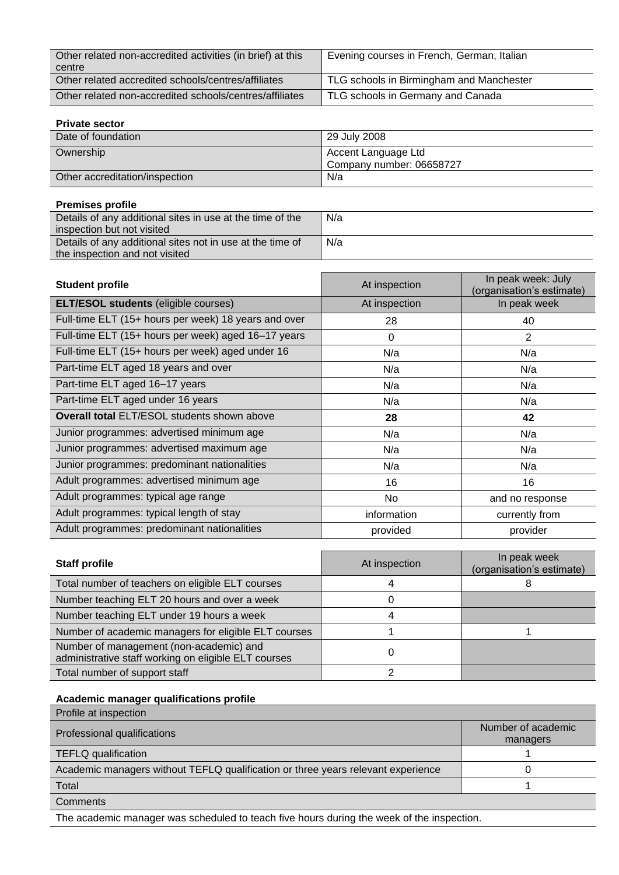| Other related non-accredited activities (in brief) at this<br>centre | Evening courses in French, German, Italian |
|----------------------------------------------------------------------|--------------------------------------------|
| Other related accredited schools/centres/affiliates                  | TLG schools in Birmingham and Manchester   |
| Other related non-accredited schools/centres/affiliates              | TLG schools in Germany and Canada          |

## **Private sector**

| Date of foundation             | 29 July 2008                                    |
|--------------------------------|-------------------------------------------------|
| Ownership                      | Accent Language Ltd<br>Company number: 06658727 |
| Other accreditation/inspection | N/a                                             |

| <b>Premises profile</b>                                   |     |
|-----------------------------------------------------------|-----|
| Details of any additional sites in use at the time of the | N/a |
| inspection but not visited                                |     |
| Details of any additional sites not in use at the time of | N/a |
| the inspection and not visited                            |     |

| <b>Student profile</b>                               | At inspection | In peak week: July<br>(organisation's estimate) |
|------------------------------------------------------|---------------|-------------------------------------------------|
| <b>ELT/ESOL students (eligible courses)</b>          | At inspection | In peak week                                    |
| Full-time ELT (15+ hours per week) 18 years and over | 28            | 40                                              |
| Full-time ELT (15+ hours per week) aged 16-17 years  | $\Omega$      | 2                                               |
| Full-time ELT (15+ hours per week) aged under 16     | N/a           | N/a                                             |
| Part-time ELT aged 18 years and over                 | N/a           | N/a                                             |
| Part-time ELT aged 16-17 years                       | N/a           | N/a                                             |
| Part-time ELT aged under 16 years                    | N/a           | N/a                                             |
| Overall total ELT/ESOL students shown above          | 28            | 42                                              |
| Junior programmes: advertised minimum age            | N/a           | N/a                                             |
| Junior programmes: advertised maximum age            | N/a           | N/a                                             |
| Junior programmes: predominant nationalities         | N/a           | N/a                                             |
| Adult programmes: advertised minimum age             | 16            | 16                                              |
| Adult programmes: typical age range                  | No            | and no response                                 |
| Adult programmes: typical length of stay             | information   | currently from                                  |
| Adult programmes: predominant nationalities          | provided      | provider                                        |

| <b>Staff profile</b>                                                                            | At inspection | In peak week<br>(organisation's estimate) |
|-------------------------------------------------------------------------------------------------|---------------|-------------------------------------------|
| Total number of teachers on eligible ELT courses                                                | 4             |                                           |
| Number teaching ELT 20 hours and over a week                                                    |               |                                           |
| Number teaching ELT under 19 hours a week                                                       | 4             |                                           |
| Number of academic managers for eligible ELT courses                                            |               |                                           |
| Number of management (non-academic) and<br>administrative staff working on eligible ELT courses |               |                                           |
| Total number of support staff                                                                   |               |                                           |

## **Academic manager qualifications profile**

| Profile at inspection                                                            |                                |
|----------------------------------------------------------------------------------|--------------------------------|
| Professional qualifications                                                      | Number of academic<br>managers |
| <b>TEFLQ</b> qualification                                                       |                                |
| Academic managers without TEFLQ qualification or three years relevant experience |                                |
| Total                                                                            |                                |
| Comments                                                                         |                                |

The academic manager was scheduled to teach five hours during the week of the inspection.